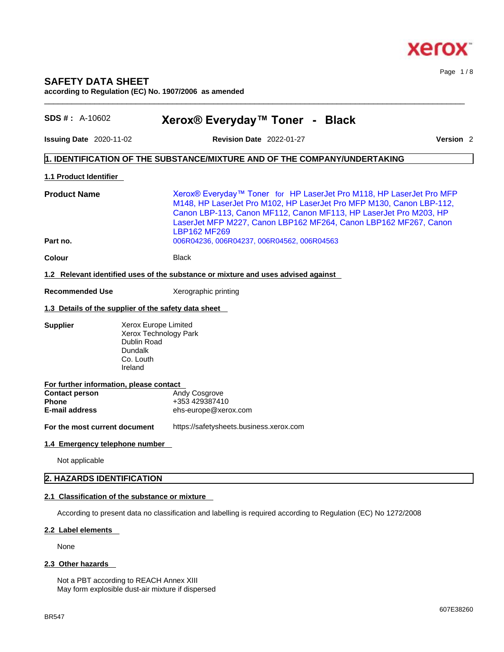

Page 1 / 8

# **SAFETY DATA SHEET according to Regulation (EC) No. 1907/2006 as amended**

| <b>SDS #: A-10602</b>                                                                                     | Xerox® Everyday™ Toner - Black                                                                                                                                                                                                                                                                        |                      |
|-----------------------------------------------------------------------------------------------------------|-------------------------------------------------------------------------------------------------------------------------------------------------------------------------------------------------------------------------------------------------------------------------------------------------------|----------------------|
| <b>Issuing Date 2020-11-02</b>                                                                            | <b>Revision Date 2022-01-27</b>                                                                                                                                                                                                                                                                       | Version <sub>2</sub> |
|                                                                                                           | 1. IDENTIFICATION OF THE SUBSTANCE/MIXTURE AND OF THE COMPANY/UNDERTAKING                                                                                                                                                                                                                             |                      |
| 1.1 Product Identifier                                                                                    |                                                                                                                                                                                                                                                                                                       |                      |
| <b>Product Name</b>                                                                                       | Xerox® Everyday™ Toner for HP LaserJet Pro M118, HP LaserJet Pro MFP<br>M148, HP LaserJet Pro M102, HP LaserJet Pro MFP M130, Canon LBP-112,<br>Canon LBP-113, Canon MF112, Canon MF113, HP LaserJet Pro M203, HP<br>LaserJet MFP M227, Canon LBP162 MF264, Canon LBP162 MF267, Canon<br>LBP162 MF269 |                      |
| Part no.                                                                                                  | 006R04236, 006R04237, 006R04562, 006R04563                                                                                                                                                                                                                                                            |                      |
| <b>Colour</b>                                                                                             | <b>Black</b>                                                                                                                                                                                                                                                                                          |                      |
|                                                                                                           | 1.2 Relevant identified uses of the substance or mixture and uses advised against                                                                                                                                                                                                                     |                      |
| <b>Recommended Use</b>                                                                                    | Xerographic printing                                                                                                                                                                                                                                                                                  |                      |
|                                                                                                           | 1.3 Details of the supplier of the safety data sheet                                                                                                                                                                                                                                                  |                      |
| <b>Supplier</b>                                                                                           | Xerox Europe Limited<br>Xerox Technology Park<br>Dublin Road<br><b>Dundalk</b><br>Co. Louth<br>Ireland                                                                                                                                                                                                |                      |
| For further information, please contact<br><b>Contact person</b><br><b>Phone</b><br><b>E-mail address</b> | Andy Cosgrove<br>+353 429387410<br>ehs-europe@xerox.com                                                                                                                                                                                                                                               |                      |
| For the most current document                                                                             | https://safetysheets.business.xerox.com                                                                                                                                                                                                                                                               |                      |
| 1.4 Emergency telephone number                                                                            |                                                                                                                                                                                                                                                                                                       |                      |
| Not applicable                                                                                            |                                                                                                                                                                                                                                                                                                       |                      |
| 2. HAZARDS IDENTIFICATION                                                                                 |                                                                                                                                                                                                                                                                                                       |                      |
|                                                                                                           | 2.1 Classification of the substance or mixture                                                                                                                                                                                                                                                        |                      |

 $\_$  ,  $\_$  ,  $\_$  ,  $\_$  ,  $\_$  ,  $\_$  ,  $\_$  ,  $\_$  ,  $\_$  ,  $\_$  ,  $\_$  ,  $\_$  ,  $\_$  ,  $\_$  ,  $\_$  ,  $\_$  ,  $\_$  ,  $\_$  ,  $\_$  ,  $\_$  ,  $\_$  ,  $\_$  ,  $\_$  ,  $\_$  ,  $\_$  ,  $\_$  ,  $\_$  ,  $\_$  ,  $\_$  ,  $\_$  ,  $\_$  ,  $\_$  ,  $\_$  ,  $\_$  ,  $\_$  ,  $\_$  ,  $\_$  ,

According to present data no classification and labelling is required according to Regulation (EC) No 1272/2008

# **2.2 Label elements**

None

# **2.3 Other hazards**

Not a PBT according to REACH Annex XIII May form explosible dust-air mixture if dispersed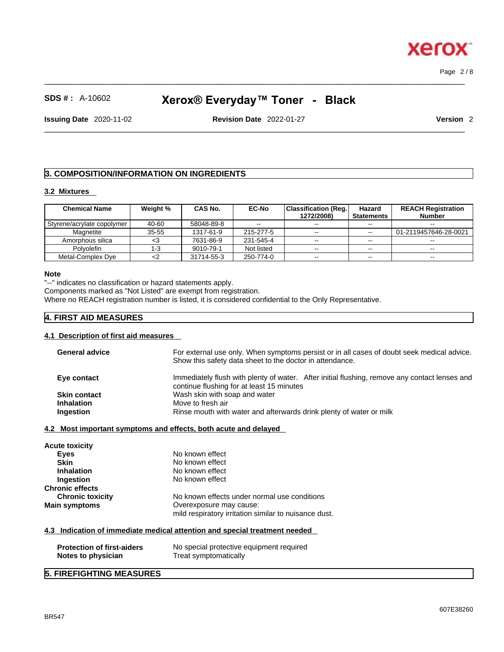$\_$  ,  $\_$  ,  $\_$  ,  $\_$  ,  $\_$  ,  $\_$  ,  $\_$  ,  $\_$  ,  $\_$  ,  $\_$  ,  $\_$  ,  $\_$  ,  $\_$  ,  $\_$  ,  $\_$  ,  $\_$  ,  $\_$  ,  $\_$  ,  $\_$  ,  $\_$  ,  $\_$  ,  $\_$  ,  $\_$  ,  $\_$  ,  $\_$  ,  $\_$  ,  $\_$  ,  $\_$  ,  $\_$  ,  $\_$  ,  $\_$  ,  $\_$  ,  $\_$  ,  $\_$  ,  $\_$  ,  $\_$  ,  $\_$  , Page 2 / 8

xero

# **SDS # :** A-10602 **Xerox® Everyday™ Toner - Black**

**Issuing Date** 2020-11-02 **Revision Date** 2022-01-27 **Version** 2

 $\_$  ,  $\_$  ,  $\_$  ,  $\_$  ,  $\_$  ,  $\_$  ,  $\_$  ,  $\_$  ,  $\_$  ,  $\_$  ,  $\_$  ,  $\_$  ,  $\_$  ,  $\_$  ,  $\_$  ,  $\_$  ,  $\_$  ,  $\_$  ,  $\_$  ,  $\_$  ,  $\_$  ,  $\_$  ,  $\_$  ,  $\_$  ,  $\_$  ,  $\_$  ,  $\_$  ,  $\_$  ,  $\_$  ,  $\_$  ,  $\_$  ,  $\_$  ,  $\_$  ,  $\_$  ,  $\_$  ,  $\_$  ,  $\_$  ,

# **3. COMPOSITION/INFORMATION ON INGREDIENTS**

# **3.2 Mixtures**

| <b>Chemical Name</b>       | Weight %  | CAS No.    | <b>EC-No</b> | Classification (Reg.) | Hazard            | <b>REACH Registration</b> |
|----------------------------|-----------|------------|--------------|-----------------------|-------------------|---------------------------|
|                            |           |            |              | 1272/2008)            | <b>Statements</b> | <b>Number</b>             |
| Styrene/acrylate copolymer | 40-60     | 58048-89-8 | $- -$        | $- -$                 | $- -$             | $- -$                     |
| Magnetite                  | $35 - 55$ | 1317-61-9  | 215-277-5    | $\sim$ $\sim$         | $- -$             | 01-2119457646-28-0021     |
| Amorphous silica           | <3        | 7631-86-9  | 231-545-4    | $\sim$ $\sim$         | $\sim$ $\sim$     | --                        |
| <b>Polvolefin</b>          | -3        | 9010-79-1  | Not listed   | $- -$                 | $\sim$ $\sim$     | $- -$                     |
| Metal-Complex Dye          |           | 31714-55-3 | 250-774-0    | $\sim$ $\sim$         | $\sim$ $\sim$     | $- -$                     |

#### **Note**

"--" indicates no classification or hazard statements apply.

Components marked as "Not Listed" are exempt from registration.

Where no REACH registration number is listed, it is considered confidential to the Only Representative.

# **4. FIRST AID MEASURES**

# **4.1 Description of first aid measures**

| <b>General advice</b>                                   | For external use only. When symptoms persist or in all cases of doubt seek medical advice.<br>Show this safety data sheet to the doctor in attendance. |
|---------------------------------------------------------|--------------------------------------------------------------------------------------------------------------------------------------------------------|
| Eye contact                                             | Immediately flush with plenty of water. After initial flushing, remove any contact lenses and<br>continue flushing for at least 15 minutes             |
| <b>Skin contact</b>                                     | Wash skin with soap and water                                                                                                                          |
| <b>Inhalation</b>                                       | Move to fresh air                                                                                                                                      |
| Ingestion                                               | Rinse mouth with water and afterwards drink plenty of water or milk                                                                                    |
|                                                         | 4.2 Most important symptoms and effects, both acute and delayed                                                                                        |
| Acute toxicity                                          |                                                                                                                                                        |
| <b>Eyes</b>                                             | No known effect                                                                                                                                        |
| <b>Skin</b>                                             | No known effect                                                                                                                                        |
| <b>Inhalation</b>                                       | No known effect                                                                                                                                        |
| Ingestion                                               | No known effect                                                                                                                                        |
| Chronic effects                                         |                                                                                                                                                        |
| <b>Chronic toxicity</b>                                 | No known effects under normal use conditions                                                                                                           |
| Main symptoms                                           | Overexposure may cause:                                                                                                                                |
|                                                         | mild respiratory irritation similar to nuisance dust.                                                                                                  |
|                                                         | 4.3 Indication of immediate medical attention and special treatment needed                                                                             |
| <b>Protection of first-aiders</b><br>Notes to physician | No special protective equipment required<br>Treat symptomatically                                                                                      |
| E EIDEEICHTING MEACHDEC                                 |                                                                                                                                                        |

# **5. FIREFIGHTING MEASURES**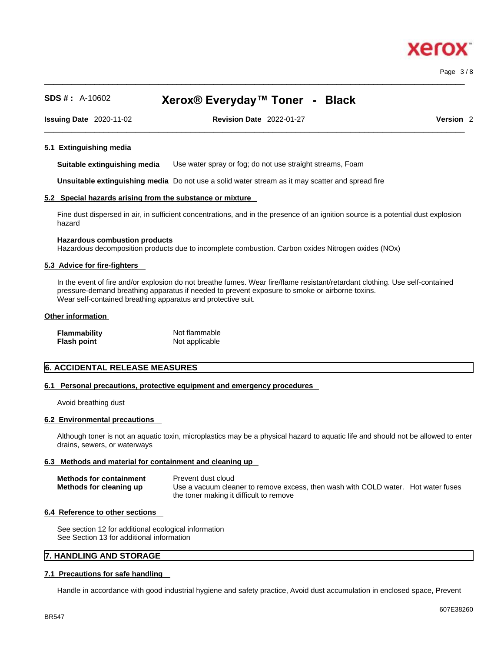#### $\_$  ,  $\_$  ,  $\_$  ,  $\_$  ,  $\_$  ,  $\_$  ,  $\_$  ,  $\_$  ,  $\_$  ,  $\_$  ,  $\_$  ,  $\_$  ,  $\_$  ,  $\_$  ,  $\_$  ,  $\_$  ,  $\_$  ,  $\_$  ,  $\_$  ,  $\_$  ,  $\_$  ,  $\_$  ,  $\_$  ,  $\_$  ,  $\_$  ,  $\_$  ,  $\_$  ,  $\_$  ,  $\_$  ,  $\_$  ,  $\_$  ,  $\_$  ,  $\_$  ,  $\_$  ,  $\_$  ,  $\_$  ,  $\_$  , Page 3 / 8

xero

# **SDS # :** A-10602 **Xerox® Everyday™ Toner - Black**

 $\_$  ,  $\_$  ,  $\_$  ,  $\_$  ,  $\_$  ,  $\_$  ,  $\_$  ,  $\_$  ,  $\_$  ,  $\_$  ,  $\_$  ,  $\_$  ,  $\_$  ,  $\_$  ,  $\_$  ,  $\_$  ,  $\_$  ,  $\_$  ,  $\_$  ,  $\_$  ,  $\_$  ,  $\_$  ,  $\_$  ,  $\_$  ,  $\_$  ,  $\_$  ,  $\_$  ,  $\_$  ,  $\_$  ,  $\_$  ,  $\_$  ,  $\_$  ,  $\_$  ,  $\_$  ,  $\_$  ,  $\_$  ,  $\_$  ,

**Issuing Date** 2020-11-02 **Revision Date** 2022-01-27 **Version** 2

#### **5.1 Extinguishing media**

**Suitable extinguishing media** Use water spray or fog; do not use straight streams, Foam

**Unsuitable extinguishing media** Do not use a solid water stream as it may scatterand spread fire

#### **5.2 Special hazards arising from the substance or mixture**

Fine dust dispersed in air, in sufficient concentrations, and in the presence of an ignition source is a potential dust explosion hazard

#### **Hazardous combustion products**

Hazardous decomposition products due to incomplete combustion. Carbon oxides Nitrogen oxides (NOx)

#### **5.3 Advice for fire-fighters**

In the event of fire and/or explosion do not breathe fumes. Wear fire/flame resistant/retardant clothing. Use self-contained pressure-demand breathing apparatus if needed to prevent exposure to smoke or airborne toxins. Wear self-contained breathing apparatus and protective suit.

#### **Other information**

| <b>Flammability</b> | Not flammable  |
|---------------------|----------------|
| <b>Flash point</b>  | Not applicable |

# **6. ACCIDENTAL RELEASE MEASURES**

#### **6.1 Personal precautions, protective equipment and emergency procedures**

Avoid breathing dust

#### **6.2 Environmental precautions**

Although toner is not an aquatic toxin, microplastics may be a physical hazard to aquatic life and should not be allowed to enter drains, sewers, or waterways

#### **6.3 Methods and material for containment and cleaning up**

| <b>Methods for containment</b> | Prevent dust cloud                                                                |
|--------------------------------|-----------------------------------------------------------------------------------|
| Methods for cleaning up        | Use a vacuum cleaner to remove excess, then wash with COLD water. Hot water fuses |
|                                | the toner making it difficult to remove                                           |

#### **6.4 Reference to other sections**

See section 12 for additional ecological information See Section 13 for additional information

## **7. HANDLING AND STORAGE**

#### **7.1 Precautions for safe handling**

Handle in accordance with good industrial hygiene and safety practice, Avoid dust accumulation in enclosed space, Prevent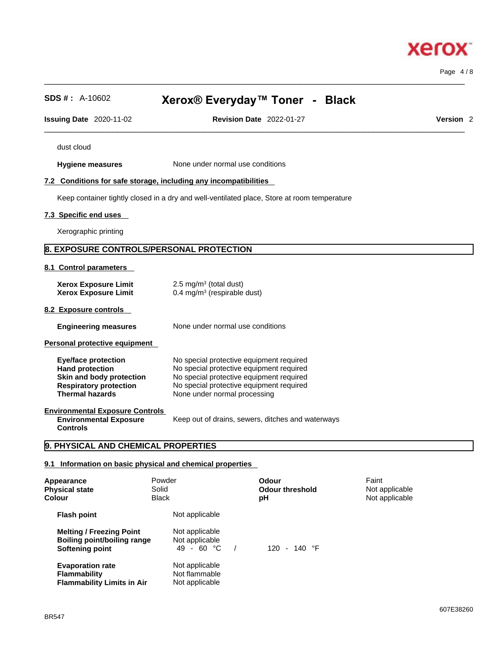Page 4 / 8

**Xerox** 

| <b>SDS #: A-10602</b>                                                                                                                       | Xerox® Everyday™ Toner - Black                                                                                                                                                                               |                                                                                             |                                           |
|---------------------------------------------------------------------------------------------------------------------------------------------|--------------------------------------------------------------------------------------------------------------------------------------------------------------------------------------------------------------|---------------------------------------------------------------------------------------------|-------------------------------------------|
| <b>Issuing Date 2020-11-02</b>                                                                                                              |                                                                                                                                                                                                              | <b>Revision Date 2022-01-27</b>                                                             | Version <sub>2</sub>                      |
| dust cloud                                                                                                                                  |                                                                                                                                                                                                              |                                                                                             |                                           |
| <b>Hygiene measures</b>                                                                                                                     |                                                                                                                                                                                                              | None under normal use conditions                                                            |                                           |
| 7.2 Conditions for safe storage, including any incompatibilities                                                                            |                                                                                                                                                                                                              |                                                                                             |                                           |
|                                                                                                                                             |                                                                                                                                                                                                              | Keep container tightly closed in a dry and well-ventilated place, Store at room temperature |                                           |
| 7.3 Specific end uses                                                                                                                       |                                                                                                                                                                                                              |                                                                                             |                                           |
| Xerographic printing                                                                                                                        |                                                                                                                                                                                                              |                                                                                             |                                           |
| 8. EXPOSURE CONTROLS/PERSONAL PROTECTION                                                                                                    |                                                                                                                                                                                                              |                                                                                             |                                           |
| 8.1 Control parameters                                                                                                                      |                                                                                                                                                                                                              |                                                                                             |                                           |
| <b>Xerox Exposure Limit</b><br><b>Xerox Exposure Limit</b>                                                                                  | 2.5 mg/m $3$ (total dust)                                                                                                                                                                                    | 0.4 mg/m <sup>3</sup> (respirable dust)                                                     |                                           |
| 8.2 Exposure controls                                                                                                                       |                                                                                                                                                                                                              |                                                                                             |                                           |
| <b>Engineering measures</b>                                                                                                                 |                                                                                                                                                                                                              | None under normal use conditions                                                            |                                           |
| <b>Personal protective equipment</b>                                                                                                        |                                                                                                                                                                                                              |                                                                                             |                                           |
| <b>Eye/face protection</b><br><b>Hand protection</b><br>Skin and body protection<br><b>Respiratory protection</b><br><b>Thermal hazards</b> | No special protective equipment required<br>No special protective equipment required<br>No special protective equipment required<br>No special protective equipment required<br>None under normal processing |                                                                                             |                                           |
| <b>Environmental Exposure Controls</b><br><b>Environmental Exposure</b><br><b>Controls</b>                                                  |                                                                                                                                                                                                              | Keep out of drains, sewers, ditches and waterways                                           |                                           |
| 9. PHYSICAL AND CHEMICAL PROPERTIES                                                                                                         |                                                                                                                                                                                                              |                                                                                             |                                           |
| 9.1 Information on basic physical and chemical properties                                                                                   |                                                                                                                                                                                                              |                                                                                             |                                           |
| Appearance<br><b>Physical state</b><br>Colour                                                                                               | Powder<br>Solid<br><b>Black</b>                                                                                                                                                                              | <b>Odour</b><br><b>Odour threshold</b><br>pH                                                | Faint<br>Not applicable<br>Not applicable |
| <b>Flash point</b>                                                                                                                          | Not applicable                                                                                                                                                                                               |                                                                                             |                                           |

 $\_$  ,  $\_$  ,  $\_$  ,  $\_$  ,  $\_$  ,  $\_$  ,  $\_$  ,  $\_$  ,  $\_$  ,  $\_$  ,  $\_$  ,  $\_$  ,  $\_$  ,  $\_$  ,  $\_$  ,  $\_$  ,  $\_$  ,  $\_$  ,  $\_$  ,  $\_$  ,  $\_$  ,  $\_$  ,  $\_$  ,  $\_$  ,  $\_$  ,  $\_$  ,  $\_$  ,  $\_$  ,  $\_$  ,  $\_$  ,  $\_$  ,  $\_$  ,  $\_$  ,  $\_$  ,  $\_$  ,  $\_$  ,  $\_$  ,

**Evaporation rate**<br>**Flammability** 

**Flammability Limits in Air** 

**Melting / Freezing Point** Not applicable **Boiling point/boiling range** Not applicable

**Softening point** 49 - 60 °C / 120 - 140 °F

Not applicable<br>**Not flammable**<br>Not applicable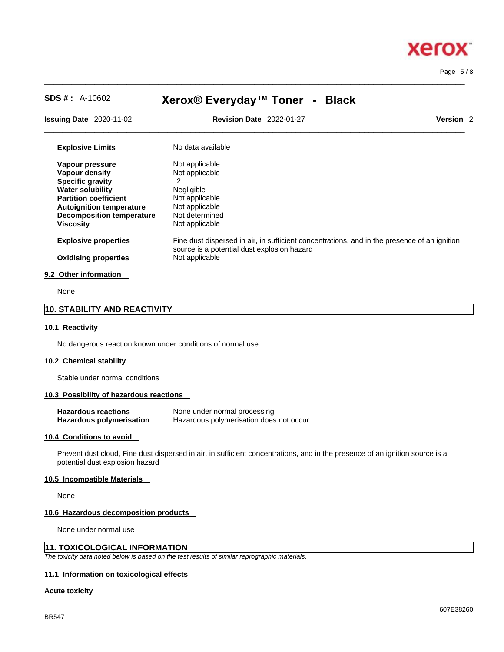

Page 5 / 8

 $\_$  ,  $\_$  ,  $\_$  ,  $\_$  ,  $\_$  ,  $\_$  ,  $\_$  ,  $\_$  ,  $\_$  ,  $\_$  ,  $\_$  ,  $\_$  ,  $\_$  ,  $\_$  ,  $\_$  ,  $\_$  ,  $\_$  ,  $\_$  ,  $\_$  ,  $\_$  ,  $\_$  ,  $\_$  ,  $\_$  ,  $\_$  ,  $\_$  ,  $\_$  ,  $\_$  ,  $\_$  ,  $\_$  ,  $\_$  ,  $\_$  ,  $\_$  ,  $\_$  ,  $\_$  ,  $\_$  ,  $\_$  ,  $\_$  , **SDS # :** A-10602 **Xerox® Everyday™ Toner - Black Issuing Date** 2020-11-02 **Revision Date** 2022-01-27 **Version** 2 **Explosive Limits** No data available **Vapour pressure** Not applicable<br> **Vapour density** Not applicable **Vapour density Specific gravity** 2 **Water solubility Negligible**<br> **Partition coefficient Not applicable Partition coefficient Autoignition temperature** Not applicable **Decomposition temperature** Not determined

**Explosive properties** Fine dust dispersed in air, in sufficient concentrations, and in the presence of an ignition source is a potential dust explosion hazard **Oxidising properties** Not applicable

 $\_$  ,  $\_$  ,  $\_$  ,  $\_$  ,  $\_$  ,  $\_$  ,  $\_$  ,  $\_$  ,  $\_$  ,  $\_$  ,  $\_$  ,  $\_$  ,  $\_$  ,  $\_$  ,  $\_$  ,  $\_$  ,  $\_$  ,  $\_$  ,  $\_$  ,  $\_$  ,  $\_$  ,  $\_$  ,  $\_$  ,  $\_$  ,  $\_$  ,  $\_$  ,  $\_$  ,  $\_$  ,  $\_$  ,  $\_$  ,  $\_$  ,  $\_$  ,  $\_$  ,  $\_$  ,  $\_$  ,  $\_$  ,  $\_$  ,

#### **9.2 Other information**

None

# **10. STABILITY AND REACTIVITY**

#### **10.1 Reactivity**

No dangerous reaction known under conditions of normal use

**Viscosity Not applicable** 

#### **10.2 Chemical stability**

Stable under normal conditions

#### **10.3 Possibility of hazardous reactions**

| <b>Hazardous reactions</b>      | None under normal processing            |
|---------------------------------|-----------------------------------------|
| <b>Hazardous polymerisation</b> | Hazardous polymerisation does not occur |

#### **10.4 Conditions to avoid**

Prevent dust cloud, Fine dust dispersed in air, in sufficient concentrations, and in the presence of an ignition source is a potential dust explosion hazard

#### **10.5 Incompatible Materials**

None

#### **10.6 Hazardous decomposition products**

None under normal use

#### **11. TOXICOLOGICAL INFORMATION**

*The toxicity data noted below is based on the test results of similar reprographic materials.* 

#### **11.1 Information on toxicological effects**

#### **Acute toxicity**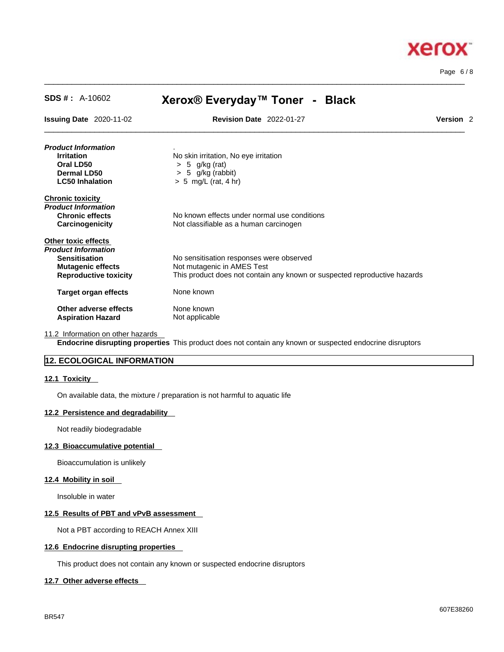

Page 6 / 8

| $SDS #: A-10602$                  | Xerox® Everyday™ Toner - Black                                            |                      |  |  |
|-----------------------------------|---------------------------------------------------------------------------|----------------------|--|--|
| <b>Issuing Date 2020-11-02</b>    | <b>Revision Date 2022-01-27</b>                                           | Version <sub>2</sub> |  |  |
| Product Information               |                                                                           |                      |  |  |
| <b>Irritation</b>                 | No skin irritation, No eye irritation                                     |                      |  |  |
| Oral LD50                         | $> 5$ g/kg (rat)                                                          |                      |  |  |
| Dermal LD50                       | $> 5$ g/kg (rabbit)                                                       |                      |  |  |
| <b>LC50 Inhalation</b>            | $> 5$ mg/L (rat, 4 hr)                                                    |                      |  |  |
| <b>Chronic toxicity</b>           |                                                                           |                      |  |  |
| Product Information               |                                                                           |                      |  |  |
| <b>Chronic effects</b>            | No known effects under normal use conditions                              |                      |  |  |
| <b>Carcinogenicity</b>            | Not classifiable as a human carcinogen                                    |                      |  |  |
| Other toxic effects               |                                                                           |                      |  |  |
| Product Information               |                                                                           |                      |  |  |
| <b>Sensitisation</b>              | No sensitisation responses were observed                                  |                      |  |  |
| <b>Mutagenic effects</b>          | Not mutagenic in AMES Test                                                |                      |  |  |
| <b>Reproductive toxicity</b>      | This product does not contain any known or suspected reproductive hazards |                      |  |  |
| <b>Target organ effects</b>       | None known                                                                |                      |  |  |
| Other adverse effects             | None known                                                                |                      |  |  |
| <b>Aspiration Hazard</b>          | Not applicable                                                            |                      |  |  |
| 11.2 Information on other hazarde |                                                                           |                      |  |  |

 $\_$  ,  $\_$  ,  $\_$  ,  $\_$  ,  $\_$  ,  $\_$  ,  $\_$  ,  $\_$  ,  $\_$  ,  $\_$  ,  $\_$  ,  $\_$  ,  $\_$  ,  $\_$  ,  $\_$  ,  $\_$  ,  $\_$  ,  $\_$  ,  $\_$  ,  $\_$  ,  $\_$  ,  $\_$  ,  $\_$  ,  $\_$  ,  $\_$  ,  $\_$  ,  $\_$  ,  $\_$  ,  $\_$  ,  $\_$  ,  $\_$  ,  $\_$  ,  $\_$  ,  $\_$  ,  $\_$  ,  $\_$  ,  $\_$  ,

11.2 Information on other hazards

**Endocrine disrupting properties** This product does not contain any known or suspected endocrine disruptors

# **12. ECOLOGICAL INFORMATION**

#### **12.1 Toxicity**

On available data, the mixture / preparation is not harmful to aquatic life

#### **12.2 Persistence and degradability**

Not readily biodegradable

#### **12.3 Bioaccumulative potential**

Bioaccumulation is unlikely

# **12.4 Mobility in soil**

Insoluble in water

### **12.5 Results of PBT and vPvB assessment**

Not a PBT according to REACH Annex XIII

#### **12.6 Endocrine disrupting properties**

This product does not contain any known or suspected endocrine disruptors

#### **12.7 Other adverse effects**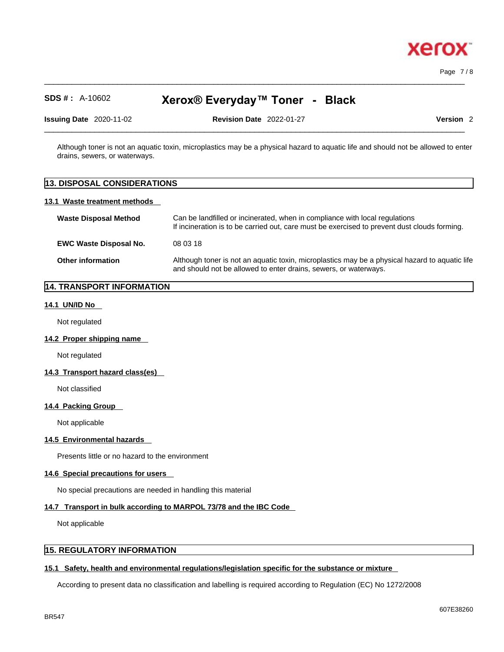

Page 7 / 8

# **SDS # :** A-10602 **Xerox® Everyday™ Toner - Black**

 $\_$  ,  $\_$  ,  $\_$  ,  $\_$  ,  $\_$  ,  $\_$  ,  $\_$  ,  $\_$  ,  $\_$  ,  $\_$  ,  $\_$  ,  $\_$  ,  $\_$  ,  $\_$  ,  $\_$  ,  $\_$  ,  $\_$  ,  $\_$  ,  $\_$  ,  $\_$  ,  $\_$  ,  $\_$  ,  $\_$  ,  $\_$  ,  $\_$  ,  $\_$  ,  $\_$  ,  $\_$  ,  $\_$  ,  $\_$  ,  $\_$  ,  $\_$  ,  $\_$  ,  $\_$  ,  $\_$  ,  $\_$  ,  $\_$  ,

**Issuing Date** 2020-11-02 **Revision Date** 2022-01-27 **Version** 2

Although toner is not an aquatic toxin, microplastics may be a physical hazard to aquatic life and should not be allowed to enter drains, sewers, or waterways.

 $\_$  ,  $\_$  ,  $\_$  ,  $\_$  ,  $\_$  ,  $\_$  ,  $\_$  ,  $\_$  ,  $\_$  ,  $\_$  ,  $\_$  ,  $\_$  ,  $\_$  ,  $\_$  ,  $\_$  ,  $\_$  ,  $\_$  ,  $\_$  ,  $\_$  ,  $\_$  ,  $\_$  ,  $\_$  ,  $\_$  ,  $\_$  ,  $\_$  ,  $\_$  ,  $\_$  ,  $\_$  ,  $\_$  ,  $\_$  ,  $\_$  ,  $\_$  ,  $\_$  ,  $\_$  ,  $\_$  ,  $\_$  ,  $\_$  ,

# **13. DISPOSAL CONSIDERATIONS 13.1 Waste treatment methods Waste Disposal Method** Can be landfilled or incinerated, when in compliance with local regulations If incineration is to be carried out, care must be exercised to prevent dust clouds forming. **EWC Waste Disposal No.** 08 03 18 **Other information** Although toner is not an aquatic toxin, microplastics may be a physical hazard to aquatic life and should not be allowed to enter drains, sewers, or waterways.

# **14. TRANSPORT INFORMATION**

#### **14.1 UN/ID No**

Not regulated

#### **14.2 Proper shipping name**

Not regulated

#### **14.3 Transport hazard class(es)**

Not classified

#### **14.4 Packing Group**

Not applicable

# **14.5 Environmental hazards**

Presents little or no hazard to the environment

#### **14.6 Special precautions for users**

No special precautions are needed in handling this material

#### **14.7 Transport in bulk according to MARPOL 73/78 and the IBC Code**

Not applicable

#### **15. REGULATORY INFORMATION**

#### **15.1 Safety, health and environmental regulations/legislation specific for the substance or mixture**

According to present data no classification and labelling is required according to Regulation (EC) No 1272/2008